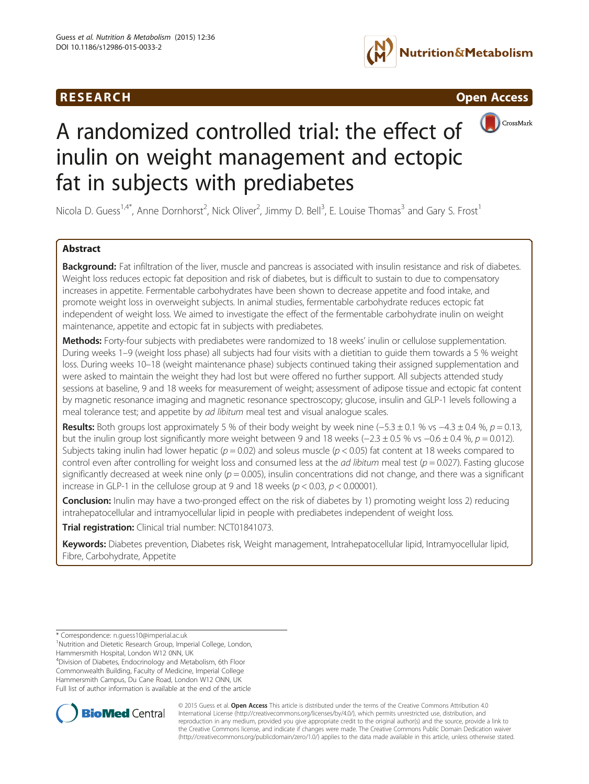





# A randomized controlled trial: the effect of inulin on weight management and ectopic fat in subjects with prediabetes

Nicola D. Guess<sup>1,4\*</sup>, Anne Dornhorst<sup>2</sup>, Nick Oliver<sup>2</sup>, Jimmy D. Bell<sup>3</sup>, E. Louise Thomas<sup>3</sup> and Gary S. Frost<sup>1</sup>

### Abstract

Background: Fat infiltration of the liver, muscle and pancreas is associated with insulin resistance and risk of diabetes. Weight loss reduces ectopic fat deposition and risk of diabetes, but is difficult to sustain to due to compensatory increases in appetite. Fermentable carbohydrates have been shown to decrease appetite and food intake, and promote weight loss in overweight subjects. In animal studies, fermentable carbohydrate reduces ectopic fat independent of weight loss. We aimed to investigate the effect of the fermentable carbohydrate inulin on weight maintenance, appetite and ectopic fat in subjects with prediabetes.

Methods: Forty-four subjects with prediabetes were randomized to 18 weeks' inulin or cellulose supplementation. During weeks 1–9 (weight loss phase) all subjects had four visits with a dietitian to guide them towards a 5 % weight loss. During weeks 10–18 (weight maintenance phase) subjects continued taking their assigned supplementation and were asked to maintain the weight they had lost but were offered no further support. All subjects attended study sessions at baseline, 9 and 18 weeks for measurement of weight; assessment of adipose tissue and ectopic fat content by magnetic resonance imaging and magnetic resonance spectroscopy; glucose, insulin and GLP-1 levels following a meal tolerance test; and appetite by ad libitum meal test and visual analogue scales.

Results: Both groups lost approximately 5 % of their body weight by week nine (−5.3 ± 0.1 % vs −4.3 ± 0.4 %,  $p = 0.13$ , but the inulin group lost significantly more weight between 9 and 18 weeks ( $-2.3 \pm 0.5$  % vs  $-0.6 \pm 0.4$  %,  $p = 0.012$ ). Subjects taking inulin had lower hepatic ( $p = 0.02$ ) and soleus muscle ( $p < 0.05$ ) fat content at 18 weeks compared to control even after controlling for weight loss and consumed less at the *ad libitum* meal test ( $p = 0.027$ ). Fasting glucose significantly decreased at week nine only ( $p = 0.005$ ), insulin concentrations did not change, and there was a significant increase in GLP-1 in the cellulose group at 9 and 18 weeks ( $p < 0.03$ ,  $p < 0.00001$ ).

**Conclusion:** Inulin may have a two-pronged effect on the risk of diabetes by 1) promoting weight loss 2) reducing intrahepatocellular and intramyocellular lipid in people with prediabetes independent of weight loss.

Trial registration: Clinical trial number: [NCT01841073.](http://www.clinicaltrials.gov/NCT01841073)

Keywords: Diabetes prevention, Diabetes risk, Weight management, Intrahepatocellular lipid, Intramyocellular lipid, Fibre, Carbohydrate, Appetite

4 Division of Diabetes, Endocrinology and Metabolism, 6th Floor Commonwealth Building, Faculty of Medicine, Imperial College Hammersmith Campus, Du Cane Road, London W12 ONN, UK Full list of author information is available at the end of the article



© 2015 Guess et al. Open Access This article is distributed under the terms of the Creative Commons Attribution 4.0 International License [\(http://creativecommons.org/licenses/by/4.0/](http://creativecommons.org/licenses/by/4.0/)), which permits unrestricted use, distribution, and reproduction in any medium, provided you give appropriate credit to the original author(s) and the source, provide a link to the Creative Commons license, and indicate if changes were made. The Creative Commons Public Domain Dedication waiver [\(http://creativecommons.org/publicdomain/zero/1.0/](http://creativecommons.org/publicdomain/zero/1.0/)) applies to the data made available in this article, unless otherwise stated.

<sup>\*</sup> Correspondence: [n.guess10@imperial.ac.uk](mailto:n.guess10@imperial.ac.uk) <sup>1</sup>

<sup>&</sup>lt;sup>1</sup>Nutrition and Dietetic Research Group, Imperial College, London,

Hammersmith Hospital, London W12 0NN, UK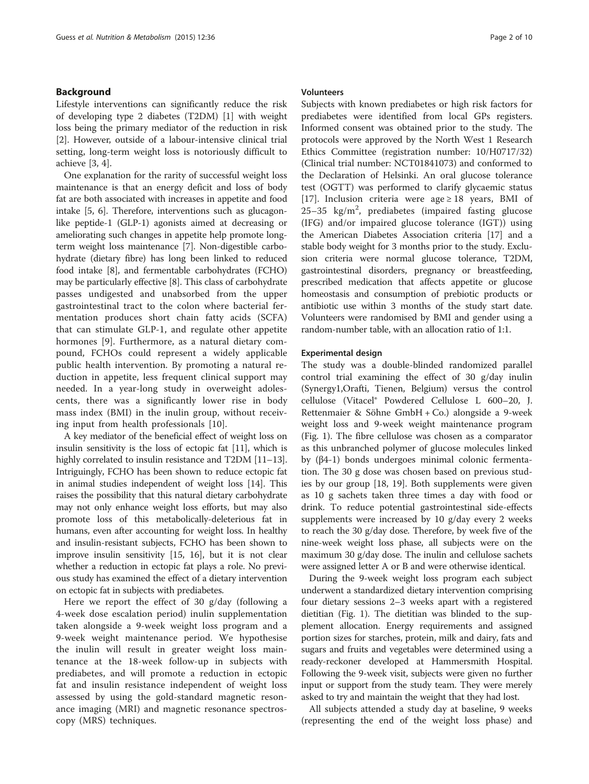#### Background

Lifestyle interventions can significantly reduce the risk of developing type 2 diabetes (T2DM) [[1](#page-8-0)] with weight loss being the primary mediator of the reduction in risk [[2\]](#page-8-0). However, outside of a labour-intensive clinical trial setting, long-term weight loss is notoriously difficult to achieve [[3, 4\]](#page-8-0).

One explanation for the rarity of successful weight loss maintenance is that an energy deficit and loss of body fat are both associated with increases in appetite and food intake [\[5](#page-8-0), [6](#page-8-0)]. Therefore, interventions such as glucagonlike peptide-1 (GLP-1) agonists aimed at decreasing or ameliorating such changes in appetite help promote longterm weight loss maintenance [[7\]](#page-8-0). Non-digestible carbohydrate (dietary fibre) has long been linked to reduced food intake [\[8](#page-8-0)], and fermentable carbohydrates (FCHO) may be particularly effective [\[8\]](#page-8-0). This class of carbohydrate passes undigested and unabsorbed from the upper gastrointestinal tract to the colon where bacterial fermentation produces short chain fatty acids (SCFA) that can stimulate GLP-1, and regulate other appetite hormones [[9](#page-8-0)]. Furthermore, as a natural dietary compound, FCHOs could represent a widely applicable public health intervention. By promoting a natural reduction in appetite, less frequent clinical support may needed. In a year-long study in overweight adolescents, there was a significantly lower rise in body mass index (BMI) in the inulin group, without receiving input from health professionals [\[10](#page-8-0)].

A key mediator of the beneficial effect of weight loss on insulin sensitivity is the loss of ectopic fat [[11](#page-8-0)], which is highly correlated to insulin resistance and T2DM [\[11](#page-8-0)–[13](#page-8-0)]. Intriguingly, FCHO has been shown to reduce ectopic fat in animal studies independent of weight loss [\[14](#page-8-0)]. This raises the possibility that this natural dietary carbohydrate may not only enhance weight loss efforts, but may also promote loss of this metabolically-deleterious fat in humans, even after accounting for weight loss. In healthy and insulin-resistant subjects, FCHO has been shown to improve insulin sensitivity [[15, 16](#page-8-0)], but it is not clear whether a reduction in ectopic fat plays a role. No previous study has examined the effect of a dietary intervention on ectopic fat in subjects with prediabetes.

Here we report the effect of 30 g/day (following a 4-week dose escalation period) inulin supplementation taken alongside a 9-week weight loss program and a 9-week weight maintenance period. We hypothesise the inulin will result in greater weight loss maintenance at the 18-week follow-up in subjects with prediabetes, and will promote a reduction in ectopic fat and insulin resistance independent of weight loss assessed by using the gold-standard magnetic resonance imaging (MRI) and magnetic resonance spectroscopy (MRS) techniques.

#### Volunteers

Subjects with known prediabetes or high risk factors for prediabetes were identified from local GPs registers. Informed consent was obtained prior to the study. The protocols were approved by the North West 1 Research Ethics Committee (registration number: 10/H0717/32) (Clinical trial number: NCT01841073) and conformed to the Declaration of Helsinki. An oral glucose tolerance test (OGTT) was performed to clarify glycaemic status [[17\]](#page-8-0). Inclusion criteria were age ≥ 18 years, BMI of 25-35  $\text{kg/m}^2$ , prediabetes (impaired fasting glucose (IFG) and/or impaired glucose tolerance (IGT)) using the American Diabetes Association criteria [[17](#page-8-0)] and a stable body weight for 3 months prior to the study. Exclusion criteria were normal glucose tolerance, T2DM, gastrointestinal disorders, pregnancy or breastfeeding, prescribed medication that affects appetite or glucose homeostasis and consumption of prebiotic products or antibiotic use within 3 months of the study start date. Volunteers were randomised by BMI and gender using a random-number table, with an allocation ratio of 1:1.

#### Experimental design

The study was a double-blinded randomized parallel control trial examining the effect of 30 g/day inulin (Synergy1,Orafti, Tienen, Belgium) versus the control cellulose (Vitacel® Powdered Cellulose L 600–20, J. Rettenmaier & Söhne GmbH + Co.) alongside a 9-week weight loss and 9-week weight maintenance program (Fig. [1\)](#page-2-0). The fibre cellulose was chosen as a comparator as this unbranched polymer of glucose molecules linked by (β4-1) bonds undergoes minimal colonic fermentation. The 30 g dose was chosen based on previous studies by our group [\[18, 19\]](#page-8-0). Both supplements were given as 10 g sachets taken three times a day with food or drink. To reduce potential gastrointestinal side-effects supplements were increased by 10 g/day every 2 weeks to reach the 30 g/day dose. Therefore, by week five of the nine-week weight loss phase, all subjects were on the maximum 30 g/day dose. The inulin and cellulose sachets were assigned letter A or B and were otherwise identical.

During the 9-week weight loss program each subject underwent a standardized dietary intervention comprising four dietary sessions 2–3 weeks apart with a registered dietitian (Fig. [1\)](#page-2-0). The dietitian was blinded to the supplement allocation. Energy requirements and assigned portion sizes for starches, protein, milk and dairy, fats and sugars and fruits and vegetables were determined using a ready-reckoner developed at Hammersmith Hospital. Following the 9-week visit, subjects were given no further input or support from the study team. They were merely asked to try and maintain the weight that they had lost.

All subjects attended a study day at baseline, 9 weeks (representing the end of the weight loss phase) and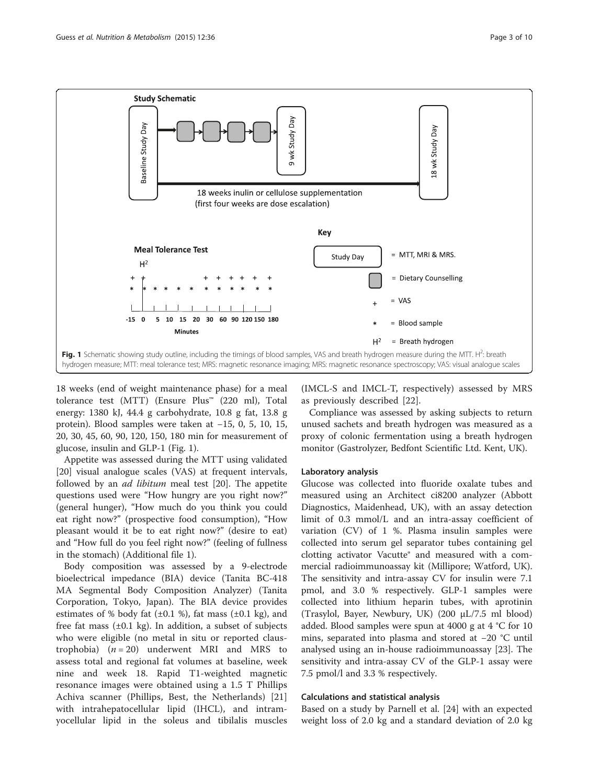<span id="page-2-0"></span>

18 weeks (end of weight maintenance phase) for a meal tolerance test (MTT) (Ensure Plus™ (220 ml), Total energy: 1380 kJ, 44.4 g carbohydrate, 10.8 g fat, 13.8 g protein). Blood samples were taken at −15, 0, 5, 10, 15, 20, 30, 45, 60, 90, 120, 150, 180 min for measurement of glucose, insulin and GLP-1 (Fig. 1).

Appetite was assessed during the MTT using validated [[20\]](#page-8-0) visual analogue scales (VAS) at frequent intervals, followed by an ad libitum meal test [\[20](#page-8-0)]. The appetite questions used were "How hungry are you right now?" (general hunger), "How much do you think you could eat right now?" (prospective food consumption), "How pleasant would it be to eat right now?" (desire to eat) and "How full do you feel right now?" (feeling of fullness in the stomach) (Additional file [1](#page-7-0)).

Body composition was assessed by a 9-electrode bioelectrical impedance (BIA) device (Tanita BC-418 MA Segmental Body Composition Analyzer) (Tanita Corporation, Tokyo, Japan). The BIA device provides estimates of % body fat  $(\pm 0.1 \%)$ , fat mass  $(\pm 0.1 \text{ kg})$ , and free fat mass  $(\pm 0.1 \text{ kg})$ . In addition, a subset of subjects who were eligible (no metal in situ or reported claustrophobia)  $(n = 20)$  underwent MRI and MRS to assess total and regional fat volumes at baseline, week nine and week 18. Rapid T1-weighted magnetic resonance images were obtained using a 1.5 T Phillips Achiva scanner (Phillips, Best, the Netherlands) [\[21](#page-8-0)] with intrahepatocellular lipid (IHCL), and intramyocellular lipid in the soleus and tibilalis muscles

(IMCL-S and IMCL-T, respectively) assessed by MRS as previously described [\[22](#page-8-0)].

Compliance was assessed by asking subjects to return unused sachets and breath hydrogen was measured as a proxy of colonic fermentation using a breath hydrogen monitor (Gastrolyzer, Bedfont Scientific Ltd. Kent, UK).

#### Laboratory analysis

Glucose was collected into fluoride oxalate tubes and measured using an Architect ci8200 analyzer (Abbott Diagnostics, Maidenhead, UK), with an assay detection limit of 0.3 mmol/L and an intra-assay coefficient of variation (CV) of 1 %. Plasma insulin samples were collected into serum gel separator tubes containing gel clotting activator Vacutte® and measured with a commercial radioimmunoassay kit (Millipore; Watford, UK). The sensitivity and intra-assay CV for insulin were 7.1 pmol, and 3.0 % respectively. GLP-1 samples were collected into lithium heparin tubes, with aprotinin (Trasylol, Bayer, Newbury, UK) (200 μL/7.5 ml blood) added. Blood samples were spun at 4000 g at 4 °C for 10 mins, separated into plasma and stored at −20 °C until analysed using an in-house radioimmunoassay [[23\]](#page-8-0). The sensitivity and intra-assay CV of the GLP-1 assay were 7.5 pmol/l and 3.3 % respectively.

#### Calculations and statistical analysis

Based on a study by Parnell et al. [\[24](#page-8-0)] with an expected weight loss of 2.0 kg and a standard deviation of 2.0 kg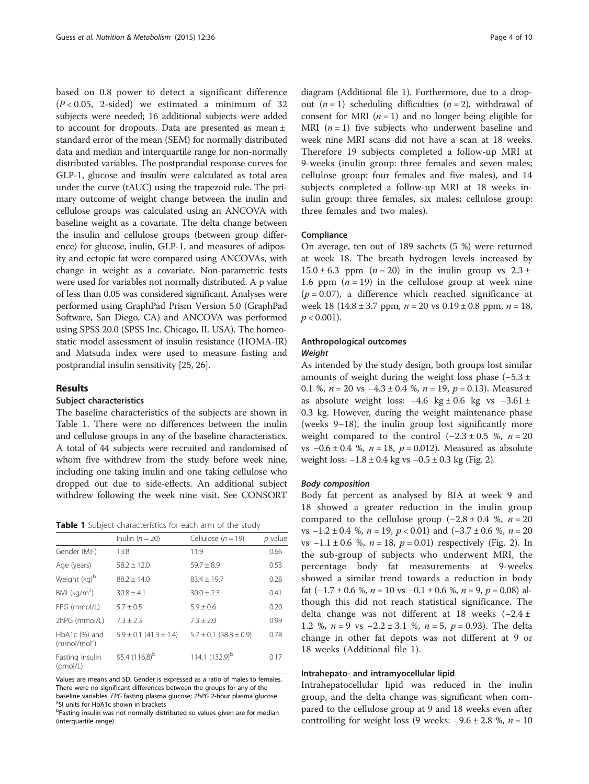based on 0.8 power to detect a significant difference  $(P < 0.05, 2-sided)$  we estimated a minimum of 32 subjects were needed; 16 additional subjects were added to account for dropouts. Data are presented as mean ± standard error of the mean (SEM) for normally distributed data and median and interquartile range for non-normally distributed variables. The postprandial response curves for GLP-1, glucose and insulin were calculated as total area under the curve (tAUC) using the trapezoid rule. The primary outcome of weight change between the inulin and cellulose groups was calculated using an ANCOVA with baseline weight as a covariate. The delta change between the insulin and cellulose groups (between group difference) for glucose, inulin, GLP-1, and measures of adiposity and ectopic fat were compared using ANCOVAs, with change in weight as a covariate. Non-parametric tests were used for variables not normally distributed. A p value of less than 0.05 was considered significant. Analyses were performed using GraphPad Prism Version 5.0 (GraphPad Software, San Diego, CA) and ANCOVA was performed using SPSS 20.0 (SPSS Inc. Chicago, IL USA). The homeostatic model assessment of insulin resistance (HOMA-IR) and Matsuda index were used to measure fasting and postprandial insulin sensitivity [[25](#page-8-0), [26\]](#page-8-0).

#### Results

#### Subject characteristics

The baseline characteristics of the subjects are shown in Table 1. There were no differences between the inulin and cellulose groups in any of the baseline characteristics. A total of 44 subjects were recruited and randomised of whom five withdrew from the study before week nine, including one taking inulin and one taking cellulose who dropped out due to side-effects. An additional subject withdrew following the week nine visit. See CONSORT

Table 1 Subject characteristics for each arm of the study

|                                             | Inulin $(n = 20)$              | Cellulose ( $n = 19$ )         | p value |
|---------------------------------------------|--------------------------------|--------------------------------|---------|
| Gender (M:F)                                | 13:8                           | 11:9                           | 0.66    |
| Age (years)                                 | $58.2 \pm 12.0$                | $59.7 + 8.9$                   | 0.53    |
| Weight (kg) <sup>b</sup>                    | $88.2 \pm 14.0$                | $83.4 \pm 19.7$                | 0.28    |
| BMI ( $kg/m2$ )                             | $30.8 \pm 4.1$                 | $30.0 \pm 2.3$                 | 0.41    |
| FPG (mmol/L)                                | $5.7 \pm 0.5$                  | $5.9 \pm 0.6$                  | 0.20    |
| 2hPG (mmol/L)                               | $7.3 \pm 2.3$                  | $7.3 \pm 2.0$                  | 0.99    |
| $HbA1c$ (%) and<br>(mmol/mol <sup>a</sup> ) | $5.9 \pm 0.1$ (41.3 $\pm$ 1.4) | $5.7 \pm 0.1$ (38.8 $\pm$ 0.9) | 0.78    |
| Fasting insulin<br>(pmol/L)                 | 95.4 (116.8) <sup>b</sup>      | 114.1 $(132.9)^b$              | 0.17    |

Values are means and SD. Gender is expressed as a ratio of males to females. There were no significant differences between the groups for any of the baseline variables. FPG fasting plasma glucose; 2hPG 2-hour plasma glucose <sup>a</sup> <sup>a</sup>SI units for HbA1c shown in brackets

<sup>b</sup>Fasting insulin was not normally distributed so values given are for median (interquartile range)

diagram (Additional file [1](#page-7-0)). Furthermore, due to a dropout  $(n = 1)$  scheduling difficulties  $(n = 2)$ , withdrawal of consent for MRI  $(n = 1)$  and no longer being eligible for MRI  $(n = 1)$  five subjects who underwent baseline and week nine MRI scans did not have a scan at 18 weeks. Therefore 19 subjects completed a follow-up MRI at 9-weeks (inulin group: three females and seven males; cellulose group: four females and five males), and 14 subjects completed a follow-up MRI at 18 weeks insulin group: three females, six males; cellulose group: three females and two males).

#### **Compliance**

On average, ten out of 189 sachets (5 %) were returned at week 18. The breath hydrogen levels increased by  $15.0 \pm 6.3$  ppm  $(n = 20)$  in the inulin group vs  $2.3 \pm 1.5$ 1.6 ppm  $(n = 19)$  in the cellulose group at week nine  $(p = 0.07)$ , a difference which reached significance at week 18 (14.8 ± 3.7 ppm,  $n = 20$  vs  $0.19 \pm 0.8$  ppm,  $n = 18$ ,  $p < 0.001$ ).

#### Anthropological outcomes Weight

As intended by the study design, both groups lost similar amounts of weight during the weight loss phase (−5.3 ± 0.1 %,  $n = 20$  vs  $-4.3 \pm 0.4$  %,  $n = 19$ ,  $p = 0.13$ ). Measured as absolute weight loss: −4.6 kg ± 0.6 kg vs −3.61 ± 0.3 kg. However, during the weight maintenance phase (weeks 9–18), the inulin group lost significantly more weight compared to the control  $(-2.3 \pm 0.5 \%)$ ,  $n = 20$ vs  $-0.6 \pm 0.4$  %,  $n = 18$ ,  $p = 0.012$ ). Measured as absolute weight loss: −1.8 ± 0.4 kg vs −0.5 ± 0.3 kg (Fig. [2\)](#page-4-0).

#### Body composition

Body fat percent as analysed by BIA at week 9 and 18 showed a greater reduction in the inulin group compared to the cellulose group  $(-2.8 \pm 0.4 \%)$ ,  $n = 20$ vs  $-1.2 \pm 0.4$  %,  $n = 19$ ,  $p < 0.01$ ) and  $(-3.7 \pm 0.6$  %,  $n = 20$ vs  $-1.1 \pm 0.6$  %,  $n = 18$ ,  $p = 0.01$ ) respectively (Fig. [2](#page-4-0)). In the sub-group of subjects who underwent MRI, the percentage body fat measurements at 9-weeks showed a similar trend towards a reduction in body fat  $(-1.7 \pm 0.6 \%)$ ,  $n = 10$  vs  $-0.1 \pm 0.6 \%$ ,  $n = 9$ ,  $p = 0.08$ ) although this did not reach statistical significance. The delta change was not different at 18 weeks (−2.4 ± 1.2 %,  $n = 9$  vs  $-2.2 \pm 3.1$  %,  $n = 5$ ,  $p = 0.93$ ). The delta change in other fat depots was not different at 9 or 18 weeks (Additional file [1](#page-7-0)).

#### Intrahepato- and intramyocellular lipid

Intrahepatocellular lipid was reduced in the inulin group, and the delta change was significant when compared to the cellulose group at 9 and 18 weeks even after controlling for weight loss (9 weeks:  $-9.6 \pm 2.8$  %,  $n = 10$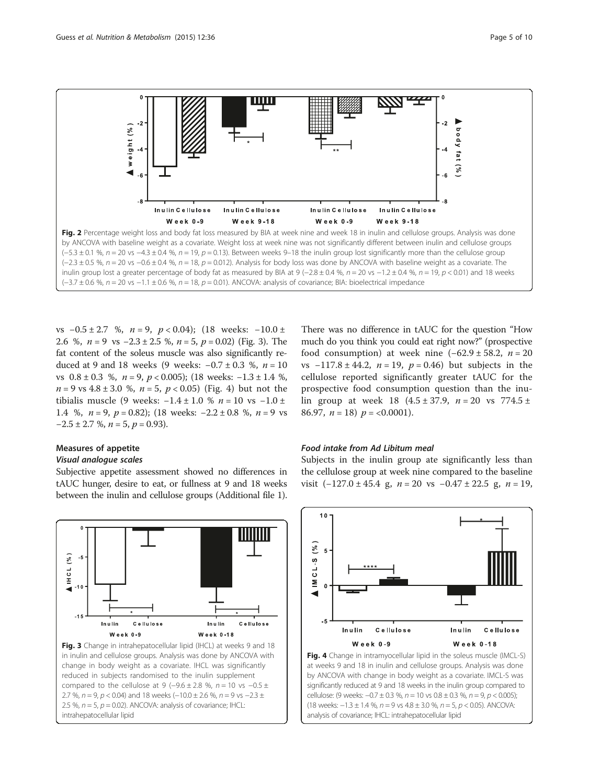<span id="page-4-0"></span>

vs  $-0.5 \pm 2.7$  %,  $n = 9$ ,  $p < 0.04$ ); (18 weeks:  $-10.0 \pm 10.00$ 2.6 %,  $n = 9$  vs  $-2.3 \pm 2.5$  %,  $n = 5$ ,  $p = 0.02$ ) (Fig. 3). The fat content of the soleus muscle was also significantly reduced at 9 and 18 weeks (9 weeks:  $-0.7 \pm 0.3$  %,  $n = 10$ vs  $0.8 \pm 0.3$  %,  $n = 9$ ,  $p < 0.005$ ); (18 weeks: −1.3 ± 1.4 %,  $n = 9$  vs  $4.8 \pm 3.0$  %,  $n = 5$ ,  $p < 0.05$ ) (Fig. 4) but not the tibialis muscle (9 weeks:  $-1.4 \pm 1.0$  %  $n = 10$  vs  $-1.0 \pm 1.0$ 1.4 %,  $n = 9$ ,  $p = 0.82$ ); (18 weeks:  $-2.2 \pm 0.8$  %,  $n = 9$  vs  $-2.5 \pm 2.7$  %,  $n = 5$ ,  $p = 0.93$ ).

#### Measures of appetite

#### Visual analogue scales

Subjective appetite assessment showed no differences in tAUC hunger, desire to eat, or fullness at 9 and 18 weeks between the inulin and cellulose groups (Additional file [1](#page-7-0)).

There was no difference in tAUC for the question "How much do you think you could eat right now?" (prospective food consumption) at week nine  $(-62.9 \pm 58.2, n = 20)$ vs  $-117.8 \pm 44.2$ ,  $n = 19$ ,  $p = 0.46$ ) but subjects in the cellulose reported significantly greater tAUC for the prospective food consumption question than the inulin group at week 18  $(4.5 \pm 37.9, n = 20 \text{ vs } 774.5 \pm 1)$ 86.97,  $n = 18$ )  $p = <0.0001$ ).

#### Food intake from Ad Libitum meal

Subjects in the inulin group ate significantly less than the cellulose group at week nine compared to the baseline visit  $(-127.0 \pm 45.4 \text{ g}, n = 20 \text{ vs } -0.47 \pm 22.5 \text{ g}, n = 19,$ 





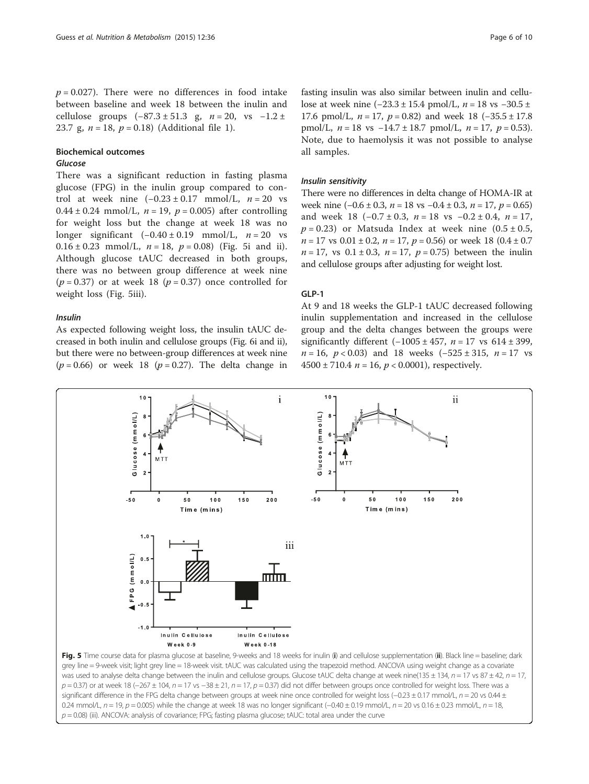$p = 0.027$ ). There were no differences in food intake between baseline and week 18 between the inulin and cellulose groups  $(-87.3 \pm 51.3 \text{ g}, n = 20, \text{ vs } -1.2 \pm \text{)}$ 23.7 g,  $n = 18$  $n = 18$  $n = 18$ ,  $p = 0.18$ ) (Additional file 1).

#### Biochemical outcomes

#### Glucose

There was a significant reduction in fasting plasma glucose (FPG) in the inulin group compared to control at week nine  $(-0.23 \pm 0.17 \text{ mmol/L}, n = 20 \text{ vs }$ 0.44 ± 0.24 mmol/L,  $n = 19$ ,  $p = 0.005$ ) after controlling for weight loss but the change at week 18 was no longer significant  $(-0.40 \pm 0.19 \text{ mmol/L}, n = 20 \text{ vs }$ 0.16  $\pm$  0.23 mmol/L,  $n = 18$ ,  $p = 0.08$ ) (Fig. 5i and ii). Although glucose tAUC decreased in both groups, there was no between group difference at week nine  $(p = 0.37)$  or at week 18  $(p = 0.37)$  once controlled for weight loss (Fig. 5iii).

#### Insulin

As expected following weight loss, the insulin tAUC decreased in both inulin and cellulose groups (Fig. [6i](#page-6-0) and [ii](#page-6-0)), but there were no between-group differences at week nine  $(p = 0.66)$  or week 18  $(p = 0.27)$ . The delta change in

fasting insulin was also similar between inulin and cellulose at week nine  $(-23.3 \pm 15.4 \text{ pmol/L}, n = 18 \text{ vs } -30.5 \pm 15.4 \text{ pmol/L}$ 17.6 pmol/L,  $n = 17$ ,  $p = 0.82$ ) and week 18 (-35.5 ± 17.8) pmol/L,  $n = 18$  vs  $-14.7 \pm 18.7$  pmol/L,  $n = 17$ ,  $p = 0.53$ ). Note, due to haemolysis it was not possible to analyse all samples.

#### Insulin sensitivity

There were no differences in delta change of HOMA-IR at week nine  $(-0.6 \pm 0.3, n = 18 \text{ vs } -0.4 \pm 0.3, n = 17, p = 0.65)$ and week 18  $(-0.7 \pm 0.3, n = 18 \text{ vs } -0.2 \pm 0.4, n = 17,$  $p = 0.23$ ) or Matsuda Index at week nine  $(0.5 \pm 0.5,$  $n = 17$  vs  $0.01 \pm 0.2$ ,  $n = 17$ ,  $p = 0.56$ ) or week 18  $(0.4 \pm 0.7)$  $n = 17$ , vs  $0.1 \pm 0.3$ ,  $n = 17$ ,  $p = 0.75$ ) between the inulin and cellulose groups after adjusting for weight lost.

#### GLP-1

At 9 and 18 weeks the GLP-1 tAUC decreased following inulin supplementation and increased in the cellulose group and the delta changes between the groups were significantly different  $(-1005 \pm 457, n = 17 \text{ vs } 614 \pm 399,$  $n = 16$ ,  $p < 0.03$ ) and 18 weeks  $(-525 \pm 315, n = 17$  vs  $4500 \pm 710.4$   $n = 16$ ,  $p < 0.0001$ ), respectively.



 $p = 0.08$ ) (iii). ANCOVA: analysis of covariance; FPG; fasting plasma glucose; tAUC: total area under the curve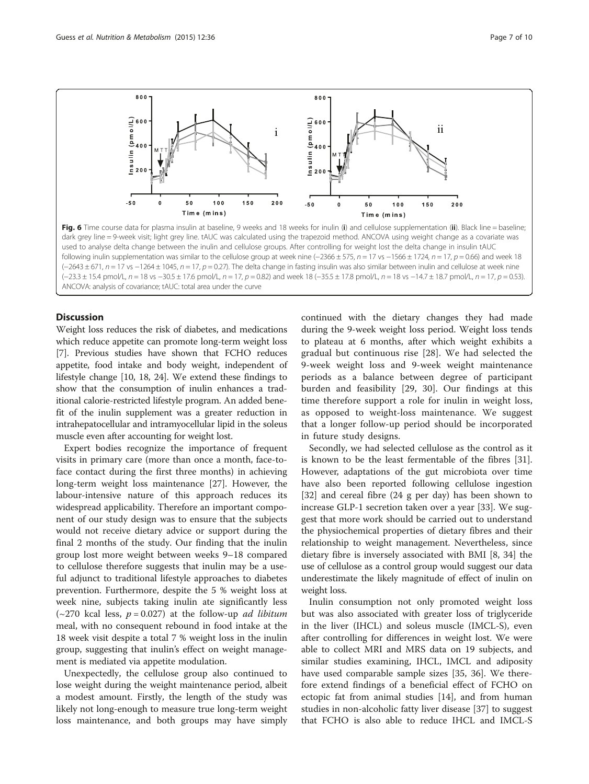<span id="page-6-0"></span>

Fig. 6 Time course data for plasma insulin at baseline, 9 weeks and 18 weeks for inulin (i) and cellulose supplementation (ii). Black line = baseline; dark grey line = 9-week visit; light grey line. tAUC was calculated using the trapezoid method. ANCOVA using weight change as a covariate was used to analyse delta change between the inulin and cellulose groups. After controlling for weight lost the delta change in insulin tAUC following inulin supplementation was similar to the cellulose group at week nine (−2366 ± 575, n = 17 vs −1566 ± 1724, n = 17, p = 0.66) and week 18 (−2643 ± 671, n = 17 vs −1264 ± 1045, n = 17, p = 0.27). The delta change in fasting insulin was also similar between inulin and cellulose at week nine (-23.3 ± 15.4 pmol/L, n = 18 vs -30.5 ± 17.6 pmol/L, n = 17, p = 0.82) and week 18 (-35.5 ± 17.8 pmol/L, n = 18 vs -14.7 ± 18.7 pmol/L, n = 17, p = 0.53). ANCOVA: analysis of covariance; tAUC: total area under the curve

#### **Discussion**

Weight loss reduces the risk of diabetes, and medications which reduce appetite can promote long-term weight loss [[7\]](#page-8-0). Previous studies have shown that FCHO reduces appetite, food intake and body weight, independent of lifestyle change [\[10, 18](#page-8-0), [24](#page-8-0)]. We extend these findings to show that the consumption of inulin enhances a traditional calorie-restricted lifestyle program. An added benefit of the inulin supplement was a greater reduction in intrahepatocellular and intramyocellular lipid in the soleus muscle even after accounting for weight lost.

Expert bodies recognize the importance of frequent visits in primary care (more than once a month, face-toface contact during the first three months) in achieving long-term weight loss maintenance [[27\]](#page-8-0). However, the labour-intensive nature of this approach reduces its widespread applicability. Therefore an important component of our study design was to ensure that the subjects would not receive dietary advice or support during the final 2 months of the study. Our finding that the inulin group lost more weight between weeks 9–18 compared to cellulose therefore suggests that inulin may be a useful adjunct to traditional lifestyle approaches to diabetes prevention. Furthermore, despite the 5 % weight loss at week nine, subjects taking inulin ate significantly less ( $\sim$ 270 kcal less,  $p = 0.027$ ) at the follow-up *ad libitum* meal, with no consequent rebound in food intake at the 18 week visit despite a total 7 % weight loss in the inulin group, suggesting that inulin's effect on weight management is mediated via appetite modulation.

Unexpectedly, the cellulose group also continued to lose weight during the weight maintenance period, albeit a modest amount. Firstly, the length of the study was likely not long-enough to measure true long-term weight loss maintenance, and both groups may have simply continued with the dietary changes they had made during the 9-week weight loss period. Weight loss tends to plateau at 6 months, after which weight exhibits a gradual but continuous rise [[28\]](#page-8-0). We had selected the 9-week weight loss and 9-week weight maintenance periods as a balance between degree of participant burden and feasibility [\[29](#page-8-0), [30](#page-8-0)]. Our findings at this time therefore support a role for inulin in weight loss, as opposed to weight-loss maintenance. We suggest that a longer follow-up period should be incorporated in future study designs.

Secondly, we had selected cellulose as the control as it is known to be the least fermentable of the fibres [\[31](#page-8-0)]. However, adaptations of the gut microbiota over time have also been reported following cellulose ingestion [[32\]](#page-8-0) and cereal fibre (24 g per day) has been shown to increase GLP-1 secretion taken over a year [\[33\]](#page-8-0). We suggest that more work should be carried out to understand the physiochemical properties of dietary fibres and their relationship to weight management. Nevertheless, since dietary fibre is inversely associated with BMI [[8](#page-8-0), [34\]](#page-9-0) the use of cellulose as a control group would suggest our data underestimate the likely magnitude of effect of inulin on weight loss.

Inulin consumption not only promoted weight loss but was also associated with greater loss of triglyceride in the liver (IHCL) and soleus muscle (IMCL-S), even after controlling for differences in weight lost. We were able to collect MRI and MRS data on 19 subjects, and similar studies examining, IHCL, IMCL and adiposity have used comparable sample sizes [\[35](#page-9-0), [36](#page-9-0)]. We therefore extend findings of a beneficial effect of FCHO on ectopic fat from animal studies [\[14\]](#page-8-0), and from human studies in non-alcoholic fatty liver disease [[37](#page-9-0)] to suggest that FCHO is also able to reduce IHCL and IMCL-S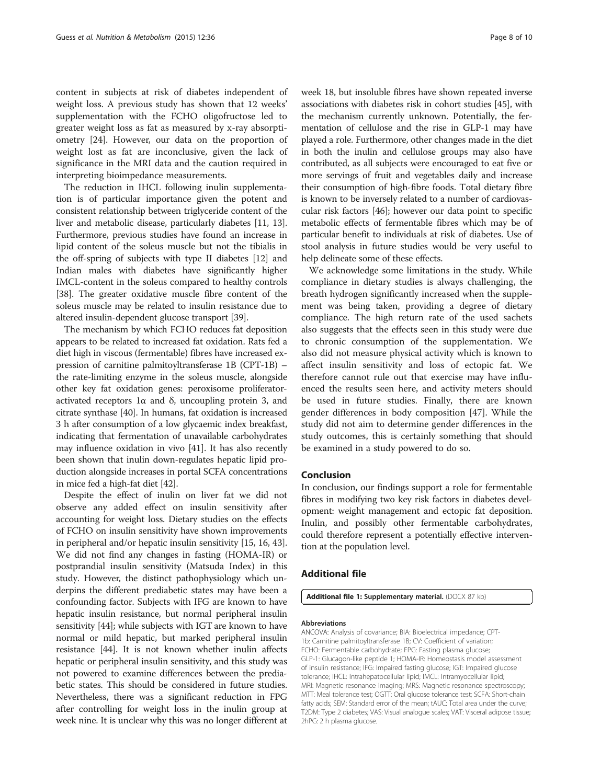<span id="page-7-0"></span>content in subjects at risk of diabetes independent of weight loss. A previous study has shown that 12 weeks' supplementation with the FCHO oligofructose led to greater weight loss as fat as measured by x-ray absorptiometry [[24\]](#page-8-0). However, our data on the proportion of weight lost as fat are inconclusive, given the lack of significance in the MRI data and the caution required in interpreting bioimpedance measurements.

The reduction in IHCL following inulin supplementation is of particular importance given the potent and consistent relationship between triglyceride content of the liver and metabolic disease, particularly diabetes [\[11, 13](#page-8-0)]. Furthermore, previous studies have found an increase in lipid content of the soleus muscle but not the tibialis in the off-spring of subjects with type II diabetes [[12](#page-8-0)] and Indian males with diabetes have significantly higher IMCL-content in the soleus compared to healthy controls [[38](#page-9-0)]. The greater oxidative muscle fibre content of the soleus muscle may be related to insulin resistance due to altered insulin-dependent glucose transport [[39](#page-9-0)].

The mechanism by which FCHO reduces fat deposition appears to be related to increased fat oxidation. Rats fed a diet high in viscous (fermentable) fibres have increased expression of carnitine palmitoyltransferase 1B (CPT-1B) – the rate-limiting enzyme in the soleus muscle, alongside other key fat oxidation genes: peroxisome proliferatoractivated receptors 1α and δ, uncoupling protein 3, and citrate synthase [[40](#page-9-0)]. In humans, fat oxidation is increased 3 h after consumption of a low glycaemic index breakfast, indicating that fermentation of unavailable carbohydrates may influence oxidation in vivo [[41](#page-9-0)]. It has also recently been shown that inulin down-regulates hepatic lipid production alongside increases in portal SCFA concentrations in mice fed a high-fat diet [\[42\]](#page-9-0).

Despite the effect of inulin on liver fat we did not observe any added effect on insulin sensitivity after accounting for weight loss. Dietary studies on the effects of FCHO on insulin sensitivity have shown improvements in peripheral and/or hepatic insulin sensitivity [[15](#page-8-0), [16,](#page-8-0) [43](#page-9-0)]. We did not find any changes in fasting (HOMA-IR) or postprandial insulin sensitivity (Matsuda Index) in this study. However, the distinct pathophysiology which underpins the different prediabetic states may have been a confounding factor. Subjects with IFG are known to have hepatic insulin resistance, but normal peripheral insulin sensitivity [[44](#page-9-0)]; while subjects with IGT are known to have normal or mild hepatic, but marked peripheral insulin resistance [\[44\]](#page-9-0). It is not known whether inulin affects hepatic or peripheral insulin sensitivity, and this study was not powered to examine differences between the prediabetic states. This should be considered in future studies. Nevertheless, there was a significant reduction in FPG after controlling for weight loss in the inulin group at week nine. It is unclear why this was no longer different at week 18, but insoluble fibres have shown repeated inverse associations with diabetes risk in cohort studies [\[45\]](#page-9-0), with the mechanism currently unknown. Potentially, the fermentation of cellulose and the rise in GLP-1 may have played a role. Furthermore, other changes made in the diet in both the inulin and cellulose groups may also have contributed, as all subjects were encouraged to eat five or more servings of fruit and vegetables daily and increase their consumption of high-fibre foods. Total dietary fibre is known to be inversely related to a number of cardiovascular risk factors [[46](#page-9-0)]; however our data point to specific metabolic effects of fermentable fibres which may be of particular benefit to individuals at risk of diabetes. Use of stool analysis in future studies would be very useful to help delineate some of these effects.

We acknowledge some limitations in the study. While compliance in dietary studies is always challenging, the breath hydrogen significantly increased when the supplement was being taken, providing a degree of dietary compliance. The high return rate of the used sachets also suggests that the effects seen in this study were due to chronic consumption of the supplementation. We also did not measure physical activity which is known to affect insulin sensitivity and loss of ectopic fat. We therefore cannot rule out that exercise may have influenced the results seen here, and activity meters should be used in future studies. Finally, there are known gender differences in body composition [[47\]](#page-9-0). While the study did not aim to determine gender differences in the study outcomes, this is certainly something that should be examined in a study powered to do so.

#### Conclusion

In conclusion, our findings support a role for fermentable fibres in modifying two key risk factors in diabetes development: weight management and ectopic fat deposition. Inulin, and possibly other fermentable carbohydrates, could therefore represent a potentially effective intervention at the population level.

#### Additional file

[Additional file 1:](dx.doi.org/10.1186/s12986-015-0033-2) Supplementary material. (DOCX 87 kb)

#### Abbreviations

ANCOVA: Analysis of covariance; BIA: Bioelectrical impedance; CPT-1b: Carnitine palmitoyltransferase 1B; CV: Coefficient of variation; FCHO: Fermentable carbohydrate; FPG: Fasting plasma glucose; GLP-1: Glucagon-like peptide 1; HOMA-IR: Homeostasis model assessment of insulin resistance; IFG: Impaired fasting glucose; IGT: Impaired glucose tolerance; IHCL: Intrahepatocellular lipid; IMCL: Intramyocellular lipid; MRI: Magnetic resonance imaging; MRS: Magnetic resonance spectroscopy; MTT: Meal tolerance test; OGTT: Oral glucose tolerance test; SCFA: Short-chain fatty acids; SEM: Standard error of the mean; tAUC: Total area under the curve; T2DM: Type 2 diabetes; VAS: Visual analogue scales; VAT: Visceral adipose tissue; 2hPG: 2 h plasma glucose.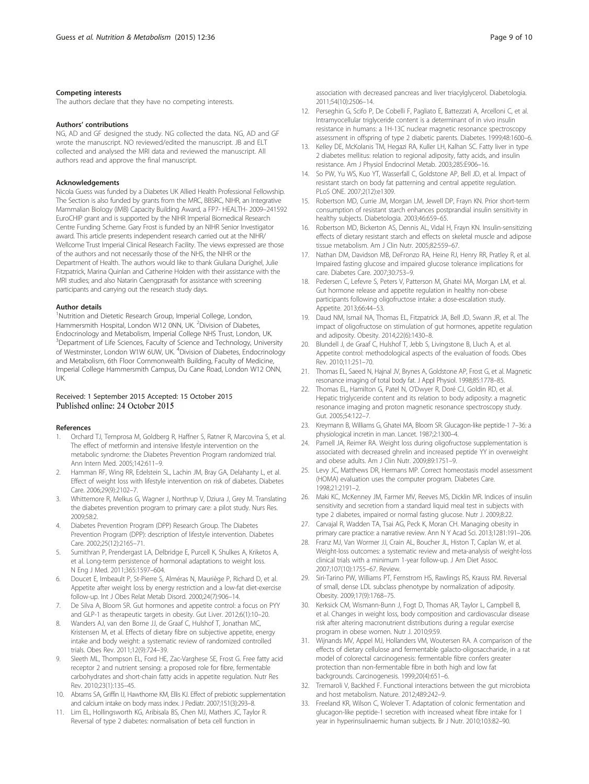#### <span id="page-8-0"></span>Competing interests

The authors declare that they have no competing interests.

#### Authors' contributions

NG, AD and GF designed the study. NG collected the data. NG, AD and GF wrote the manuscript. NO reviewed/edited the manuscript. JB and ELT collected and analysed the MRI data and reviewed the manuscript. All authors read and approve the final manuscript.

#### Acknowledgements

Nicola Guess was funded by a Diabetes UK Allied Health Professional Fellowship. The Section is also funded by grants from the MRC, BBSRC, NIHR, an Integrative Mammalian Biology (IMB) Capacity Building Award, a FP7- HEALTH- 2009–241592 EuroCHIP grant and is supported by the NIHR Imperial Biomedical Research Centre Funding Scheme. Gary Frost is funded by an NIHR Senior Investigator award. This article presents independent research carried out at the NIHR/ Wellcome Trust Imperial Clinical Research Facility. The views expressed are those of the authors and not necessarily those of the NHS, the NIHR or the Department of Health. The authors would like to thank Giuliana Durighel, Julie Fitzpatrick, Marina Quinlan and Catherine Holden with their assistance with the MRI studies; and also Natarin Caengprasath for assistance with screening participants and carrying out the research study days.

#### Author details

<sup>1</sup>Nutrition and Dietetic Research Group, Imperial College, London, Hammersmith Hospital, London W12 0NN, UK. <sup>2</sup> Division of Diabetes, Endocrinology and Metabolism, Imperial College NHS Trust, London, UK. <sup>3</sup>Department of Life Sciences, Faculty of Science and Technology, University of Westminster, London W1W 6UW, UK. <sup>4</sup>Division of Diabetes, Endocrinology and Metabolism, 6th Floor Commonwealth Building, Faculty of Medicine, Imperial College Hammersmith Campus, Du Cane Road, London W12 ONN, UK.

## Received: 1 September 2015 Accepted: 15 October 2015<br>Published online: 24 October 2015

#### References

- 1. Orchard TJ, Temprosa M, Goldberg R, Haffner S, Ratner R, Marcovina S, et al. The effect of metformin and intensive lifestyle intervention on the metabolic syndrome: the Diabetes Prevention Program randomized trial. Ann Intern Med. 2005;142:611–9.
- 2. Hamman RF, Wing RR, Edelstein SL, Lachin JM, Bray GA, Delahanty L, et al. Effect of weight loss with lifestyle intervention on risk of diabetes. Diabetes Care. 2006;29(9):2102–7.
- 3. Whittemore R, Melkus G, Wagner J, Northrup V, Dziura J, Grey M. Translating the diabetes prevention program to primary care: a pilot study. Nurs Res. 2009;58:2.
- 4. Diabetes Prevention Program (DPP) Research Group. The Diabetes Prevention Program (DPP): description of lifestyle intervention. Diabetes Care. 2002;25(12):2165–71.
- 5. Sumithran P, Prendergast LA, Delbridge E, Purcell K, Shulkes A, Kriketos A, et al. Long-term persistence of hormonal adaptations to weight loss. N Eng J Med. 2011;365:1597–604.
- 6. Doucet E, Imbeault P, St-Pierre S, Alméras N, Mauriège P, Richard D, et al. Appetite after weight loss by energy restriction and a low-fat diet-exercise follow-up. Int J Obes Relat Metab Disord. 2000;24(7):906–14.
- 7. De Silva A, Bloom SR. Gut hormones and appetite control: a focus on PYY and GLP-1 as therapeutic targets in obesity. Gut Liver. 2012;6(1):10–20.
- 8. Wanders AJ, van den Borne JJ, de Graaf C, Hulshof T, Jonathan MC, Kristensen M, et al. Effects of dietary fibre on subjective appetite, energy intake and body weight: a systematic review of randomized controlled trials. Obes Rev. 2011;12(9):724–39.
- 9. Sleeth ML, Thompson EL, Ford HE, Zac-Varghese SE, Frost G. Free fatty acid receptor 2 and nutrient sensing: a proposed role for fibre, fermentable carbohydrates and short-chain fatty acids in appetite regulation. Nutr Res Rev. 2010;23(1):135–45.
- 10. Abrams SA, Griffin IJ, Hawthorne KM, Ellis KJ. Effect of prebiotic supplementation and calcium intake on body mass index. J Pediatr. 2007;151(3):293–8.
- 11. Lim EL, Hollingsworth KG, Aribisala BS, Chen MJ, Mathers JC, Taylor R. Reversal of type 2 diabetes: normalisation of beta cell function in

association with decreased pancreas and liver triacylglycerol. Diabetologia. 2011;54(10):2506–14.

- 12. Perseghin G, Scifo P, De Cobelli F, Pagliato E, Battezzati A, Arcelloni C, et al. Intramyocellular triglyceride content is a determinant of in vivo insulin resistance in humans: a 1H-13C nuclear magnetic resonance spectroscopy assessment in offspring of type 2 diabetic parents. Diabetes. 1999;48:1600–6.
- 13. Kelley DE, McKolanis TM, Hegazi RA, Kuller LH, Kalhan SC. Fatty liver in type 2 diabetes mellitus: relation to regional adiposity, fatty acids, and insulin resistance. Am J Physiol Endocrinol Metab. 2003;285:E906–16.
- 14. So PW, Yu WS, Kuo YT, Wasserfall C, Goldstone AP, Bell JD, et al. Impact of resistant starch on body fat patterning and central appetite regulation. PLoS ONE. 2007;2(12):e1309.
- 15. Robertson MD, Currie JM, Morgan LM, Jewell DP, Frayn KN. Prior short-term consumption of resistant starch enhances postprandial insulin sensitivity in healthy subjects. Diabetologia. 2003;46:659–65.
- 16. Robertson MD, Bickerton AS, Dennis AL, Vidal H, Frayn KN. Insulin-sensitizing effects of dietary resistant starch and effects on skeletal muscle and adipose tissue metabolism. Am J Clin Nutr. 2005;82:559–67.
- 17. Nathan DM, Davidson MB, DeFronzo RA, Heine RJ, Henry RR, Pratley R, et al. Impaired fasting glucose and impaired glucose tolerance implications for care. Diabetes Care. 2007;30:753–9.
- 18. Pedersen C, Lefevre S, Peters V, Patterson M, Ghatei MA, Morgan LM, et al. Gut hormone release and appetite regulation in healthy non-obese participants following oligofructose intake: a dose-escalation study. Appetite. 2013;66:44–53.
- 19. Daud NM, Ismail NA, Thomas EL, Fitzpatrick JA, Bell JD, Swann JR, et al. The impact of oligofructose on stimulation of gut hormones, appetite regulation and adiposity. Obesity. 2014;22(6):1430–8.
- 20. Blundell J, de Graaf C, Hulshof T, Jebb S, Livingstone B, Lluch A, et al. Appetite control: methodological aspects of the evaluation of foods. Obes Rev. 2010;11:251–70.
- 21. Thomas EL, Saeed N, Hajnal JV, Brynes A, Goldstone AP, Frost G, et al. Magnetic resonance imaging of total body fat. J Appl Physiol. 1998;85:1778–85.
- 22. Thomas EL, Hamilton G, Patel N, O'Dwyer R, Doré CJ, Goldin RD, et al. Hepatic triglyceride content and its relation to body adiposity: a magnetic resonance imaging and proton magnetic resonance spectroscopy study. Gut. 2005;54:122–7.
- 23. Kreymann B, Williams G, Ghatei MA, Bloom SR. Glucagon-like peptide-1 7–36: a physiological incretin in man. Lancet. 1987;2:1300–4.
- 24. Parnell JA, Reimer RA. Weight loss during oligofructose supplementation is associated with decreased ghrelin and increased peptide YY in overweight and obese adults. Am J Clin Nutr. 2009;89:1751–9.
- 25. Levy JC, Matthews DR, Hermans MP. Correct homeostasis model assessment (HOMA) evaluation uses the computer program. Diabetes Care. 1998;21:2191–2.
- 26. Maki KC, McKenney JM, Farmer MV, Reeves MS, Dicklin MR. Indices of insulin sensitivity and secretion from a standard liquid meal test in subjects with type 2 diabetes, impaired or normal fasting glucose. Nutr J. 2009;8:22.
- 27. Carvajal R, Wadden TA, Tsai AG, Peck K, Moran CH. Managing obesity in primary care practice: a narrative review. Ann N Y Acad Sci. 2013;1281:191–206.
- 28. Franz MJ, Van Wormer JJ, Crain AL, Boucher JL, Histon T, Caplan W, et al. Weight-loss outcomes: a systematic review and meta-analysis of weight-loss clinical trials with a minimum 1-year follow-up. J Am Diet Assoc. 2007;107(10):1755–67. Review.
- 29. Siri-Tarino PW, Williams PT, Fernstrom HS, Rawlings RS, Krauss RM. Reversal of small, dense LDL subclass phenotype by normalization of adiposity. Obesity. 2009;17(9):1768–75.
- 30. Kerksick CM, Wismann-Bunn J, Fogt D, Thomas AR, Taylor L, Campbell B, et al. Changes in weight loss, body composition and cardiovascular disease risk after altering macronutrient distributions during a regular exercise program in obese women. Nutr J. 2010;9:59.
- 31. Wijnands MV, Appel MJ, Hollanders VM, Woutersen RA. A comparison of the effects of dietary cellulose and fermentable galacto-oligosaccharide, in a rat model of colorectal carcinogenesis: fermentable fibre confers greater protection than non-fermentable fibre in both high and low fat backgrounds. Carcinogenesis. 1999;20(4):651–6.
- 32. Tremaroli V, Backhed F. Functional interactions between the gut microbiota and host metabolism. Nature. 2012;489:242–9.
- 33. Freeland KR, Wilson C, Wolever T. Adaptation of colonic fermentation and glucagon-like peptide-1 secretion with increased wheat fibre intake for 1 year in hyperinsulinaemic human subjects. Br J Nutr. 2010;103:82–90.